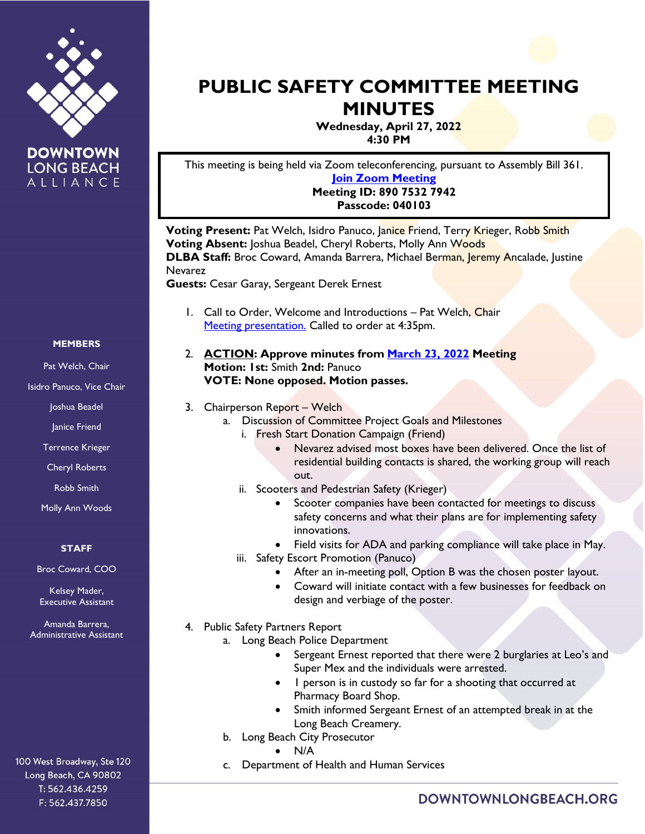

**DOWNTOWN LONG BEACH** ALLIANCE

# **PUBLIC SAFETY COMMITTEE MEETING MINUTES**

**Wednesday, April 27, 2022 4:30 PM**

This meeting is being held via Zoom teleconferencing, pursuant to Assembly Bill 361. **[Join Zoom Meeting](https://us02web.zoom.us/j/89075327942?pwd=VG9uLzd2OEI2ZGpuQmlwTmpaWUk1Zz09) Meeting ID: 890 7532 7942**

**Passcode: 040103**

**Voting Present:** Pat Welch, Isidro Panuco, Janice Friend, Terry Krieger, Robb Smith **Voting Absent:** Joshua Beadel, Cheryl Roberts, Molly Ann Woods **DLBA Staff:** Broc Coward, Amanda Barrera, Michael Berman, Jeremy Ancalade, Justine Nevarez

**Guests:** Cesar Garay, Sergeant Derek Ernest

- 1. Call to Order, Welcome and Introductions Pat Welch, Chair [Meeting presentation.](https://downtownlongbeach.org/wp-content/uploads/2-Public-Safety-April-PPT-2.pdf) Called to order at 4:35pm.
- 2. **ACTION: Approve minutes from [March 23, 2022](https://downtownlongbeach.org/wp-content/uploads/Public-Safety-3.23.22-Minutes-F.pdf) Meeting Motion: 1st:** Smith **2nd:** Panuco **VOTE: None opposed. Motion passes.**
- 3. Chairperson Report Welch
	- a. Discussion of Committee Project Goals and Milestones
		- i. Fresh Start Donation Campaign (Friend)
			- Nevarez advised most boxes have been delivered. Once the list of residential building contacts is shared, the working group will reach out.
		- ii. Scooters and Pedestrian Safety (Krieger)
			- Scooter companies have been contacted for meetings to discuss safety concerns and what their plans are for implementing safety innovations.
			- Field visits for ADA and parking compliance will take place in May.
		- iii. Safety Escort Promotion (Panuco)
			- After an in-meeting poll, Option B was the chosen poster layout.
			- Coward will initiate contact with a few businesses for feedback on design and verbiage of the poster.
- 4. Public Safety Partners Report
	- a. Long Beach Police Department
		- Sergeant Ernest reported that there were 2 burglaries at Leo's and Super Mex and the individuals were arrested.
		- 1 person is in custody so far for a shooting that occurred at Pharmacy Board Shop.
		- Smith informed Sergeant Ernest of an attempted break in at the Long Beach Creamery.
	- b. Long Beach City Prosecutor
		- N/A
	- c. Department of Health and Human Services

#### **MEMBERS**

Pat Welch, Chair

Isidro Panuco, Vice Chair

Joshua Beadel

Janice Friend

Terrence Krieger

Cheryl Roberts

Robb Smith

Molly Ann Woods

### **STAFF**

Broc Coward, COO

Kelsey Mader, Executive Assistant

Amanda Barrera, Administrative Assistant

100 West Broadway, Ste 120 Long Beach, CA 90802 T: 562.436.4259 F: 562.437.7850